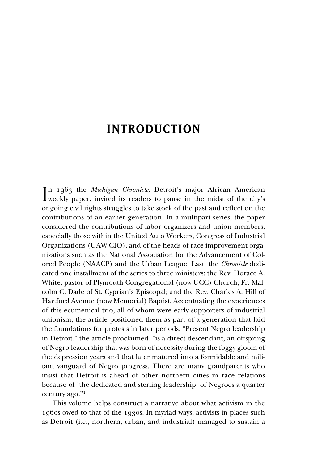## **INTRODUCTION**

In 1963 the *Michigan Chronicle*, Detroit's major African American<br>weekly paper, invited its readers to pause in the midst of the city's n 1963 the *Michigan Chronicle,* Detroit's major African American ongoing civil rights struggles to take stock of the past and reflect on the contributions of an earlier generation. In a multipart series, the paper considered the contributions of labor organizers and union members, especially those within the United Auto Workers, Congress of Industrial Organizations (UAW-CIO), and of the heads of race improvement organizations such as the National Association for the Advancement of Colored People (NAACP) and the Urban League. Last, the *Chronicle* dedicated one installment of the series to three ministers: the Rev. Horace A. White, pastor of Plymouth Congregational (now UCC) Church; Fr. Malcolm C. Dade of St. Cyprian's Episcopal; and the Rev. Charles A. Hill of Hartford Avenue (now Memorial) Baptist. Accentuating the experiences of this ecumenical trio, all of whom were early supporters of industrial unionism, the article positioned them as part of a generation that laid the foundations for protests in later periods. "Present Negro leadership in Detroit," the article proclaimed, "is a direct descendant, an offspring of Negro leadership that was born of necessity during the foggy gloom of the depression years and that later matured into a formidable and militant vanguard of Negro progress. There are many grandparents who insist that Detroit is ahead of other northern cities in race relations because of 'the dedicated and sterling leadership' of Negroes a quarter century ago."1

This volume helps construct a narrative about what activism in the 1960s owed to that of the 1930s. In myriad ways, activists in places such as Detroit (i.e., northern, urban, and industrial) managed to sustain a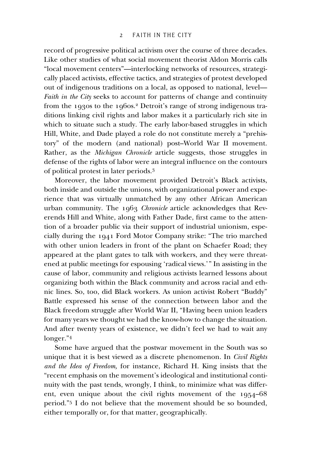record of progressive political activism over the course of three decades. Like other studies of what social movement theorist Aldon Morris calls "local movement centers"—interlocking networks of resources, strategically placed activists, effective tactics, and strategies of protest developed out of indigenous traditions on a local, as opposed to national, level— *Faith in the City* seeks to account for patterns of change and continuity from the 1930s to the 1960s.<sup>2</sup> Detroit's range of strong indigenous traditions linking civil rights and labor makes it a particularly rich site in which to situate such a study. The early labor-based struggles in which Hill, White, and Dade played a role do not constitute merely a "prehistory" of the modern (and national) post–World War II movement. Rather, as the *Michigan Chronicle* article suggests, those struggles in defense of the rights of labor were an integral influence on the contours of political protest in later periods.<sup>3</sup>

Moreover, the labor movement provided Detroit's Black activists, both inside and outside the unions, with organizational power and experience that was virtually unmatched by any other African American urban community. The 1963 *Chronicle* article acknowledges that Reverends Hill and White, along with Father Dade, first came to the attention of a broader public via their support of industrial unionism, especially during the 1941 Ford Motor Company strike: "The trio marched with other union leaders in front of the plant on Schaefer Road; they appeared at the plant gates to talk with workers, and they were threatened at public meetings for espousing 'radical views.'" In assisting in the cause of labor, community and religious activists learned lessons about organizing both within the Black community and across racial and ethnic lines. So, too, did Black workers. As union activist Robert "Buddy" Battle expressed his sense of the connection between labor and the Black freedom struggle after World War II, "Having been union leaders for many years we thought we had the know-how to change the situation. And after twenty years of existence, we didn't feel we had to wait any longer."4

Some have argued that the postwar movement in the South was so unique that it is best viewed as a discrete phenomenon. In *Civil Rights and the Idea of Freedom,* for instance, Richard H. King insists that the "recent emphasis on the movement's ideological and institutional continuity with the past tends, wrongly, I think, to minimize what was different, even unique about the civil rights movement of the 1954–68 period."<sup>5</sup> I do not believe that the movement should be so bounded, either temporally or, for that matter, geographically.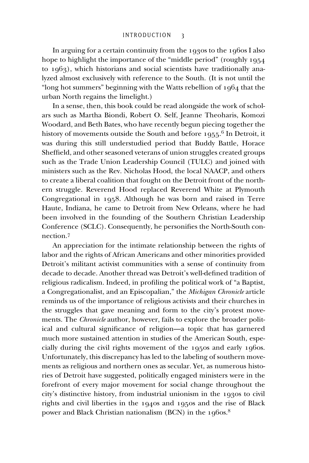In arguing for a certain continuity from the 1930s to the 1960s I also hope to highlight the importance of the "middle period" (roughly 1954 to 1963), which historians and social scientists have traditionally analyzed almost exclusively with reference to the South. (It is not until the "long hot summers" beginning with the Watts rebellion of 1964 that the urban North regains the limelight.)

In a sense, then, this book could be read alongside the work of scholars such as Martha Biondi, Robert O. Self, Jeanne Theoharis, Komozi Woodard, and Beth Bates, who have recently begun piecing together the history of movements outside the South and before 1955.<sup>6</sup> In Detroit, it was during this still understudied period that Buddy Battle, Horace Sheffield, and other seasoned veterans of union struggles created groups such as the Trade Union Leadership Council (TULC) and joined with ministers such as the Rev. Nicholas Hood, the local NAACP, and others to create a liberal coalition that fought on the Detroit front of the northern struggle. Reverend Hood replaced Reverend White at Plymouth Congregational in 1958. Although he was born and raised in Terre Haute, Indiana, he came to Detroit from New Orleans, where he had been involved in the founding of the Southern Christian Leadership Conference (SCLC). Consequently, he personifies the North-South connection.<sup>7</sup>

An appreciation for the intimate relationship between the rights of labor and the rights of African Americans and other minorities provided Detroit's militant activist communities with a sense of continuity from decade to decade. Another thread was Detroit's well-defined tradition of religious radicalism. Indeed, in profiling the political work of "a Baptist, a Congregationalist, and an Episcopalian," the *Michigan Chronicle* article reminds us of the importance of religious activists and their churches in the struggles that gave meaning and form to the city's protest movements. The *Chronicle* author, however, fails to explore the broader political and cultural significance of religion—a topic that has garnered much more sustained attention in studies of the American South, especially during the civil rights movement of the 1950s and early 1960s. Unfortunately, this discrepancy has led to the labeling of southern movements as religious and northern ones as secular. Yet, as numerous histories of Detroit have suggested, politically engaged ministers were in the forefront of every major movement for social change throughout the city's distinctive history, from industrial unionism in the 1930s to civil rights and civil liberties in the 1940s and 1950s and the rise of Black power and Black Christian nationalism (BCN) in the 1960s.<sup>8</sup>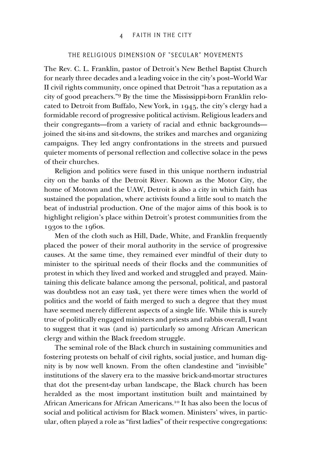## THE RELIGIOUS DIMENSION OF "SECULAR" MOVEMENTS

The Rev. C. L. Franklin, pastor of Detroit's New Bethel Baptist Church for nearly three decades and a leading voice in the city's post–World War II civil rights community, once opined that Detroit "has a reputation as a city of good preachers."9 By the time the Mississippi-born Franklin relocated to Detroit from Buffalo, New York, in 1945, the city's clergy had a formidable record of progressive political activism. Religious leaders and their congregants—from a variety of racial and ethnic backgrounds joined the sit-ins and sit-downs, the strikes and marches and organizing campaigns. They led angry confrontations in the streets and pursued quieter moments of personal reflection and collective solace in the pews of their churches.

Religion and politics were fused in this unique northern industrial city on the banks of the Detroit River. Known as the Motor City, the home of Motown and the UAW, Detroit is also a city in which faith has sustained the population, where activists found a little soul to match the beat of industrial production. One of the major aims of this book is to highlight religion's place within Detroit's protest communities from the 1930s to the 1960s.

Men of the cloth such as Hill, Dade, White, and Franklin frequently placed the power of their moral authority in the service of progressive causes. At the same time, they remained ever mindful of their duty to minister to the spiritual needs of their flocks and the communities of protest in which they lived and worked and struggled and prayed. Maintaining this delicate balance among the personal, political, and pastoral was doubtless not an easy task, yet there were times when the world of politics and the world of faith merged to such a degree that they must have seemed merely different aspects of a single life. While this is surely true of politically engaged ministers and priests and rabbis overall, I want to suggest that it was (and is) particularly so among African American clergy and within the Black freedom struggle.

The seminal role of the Black church in sustaining communities and fostering protests on behalf of civil rights, social justice, and human dignity is by now well known. From the often clandestine and "invisible" institutions of the slavery era to the massive brick-and-mortar structures that dot the present-day urban landscape, the Black church has been heralded as the most important institution built and maintained by African Americans for African Americans.10 It has also been the locus of social and political activism for Black women. Ministers' wives, in particular, often played a role as "first ladies" of their respective congregations: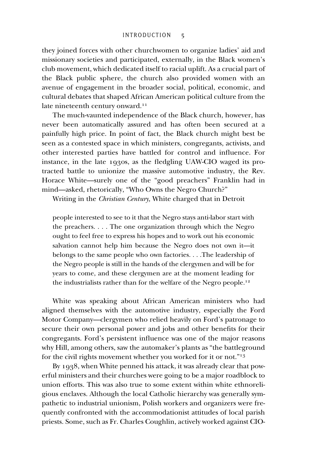they joined forces with other churchwomen to organize ladies' aid and missionary societies and participated, externally, in the Black women's club movement, which dedicated itself to racial uplift. As a crucial part of the Black public sphere, the church also provided women with an avenue of engagement in the broader social, political, economic, and cultural debates that shaped African American political culture from the late nineteenth century onward.<sup>11</sup>

The much-vaunted independence of the Black church, however, has never been automatically assured and has often been secured at a painfully high price. In point of fact, the Black church might best be seen as a contested space in which ministers, congregants, activists, and other interested parties have battled for control and influence. For instance, in the late 1930s, as the fledgling UAW-CIO waged its protracted battle to unionize the massive automotive industry, the Rev. Horace White—surely one of the "good preachers" Franklin had in mind—asked, rhetorically, "Who Owns the Negro Church?"

Writing in the *Christian Century,* White charged that in Detroit

people interested to see to it that the Negro stays anti-labor start with the preachers. . . . The one organization through which the Negro ought to feel free to express his hopes and to work out his economic salvation cannot help him because the Negro does not own it—it belongs to the same people who own factories. . . .The leadership of the Negro people is still in the hands of the clergymen and will be for years to come, and these clergymen are at the moment leading for the industrialists rather than for the welfare of the Negro people.<sup>12</sup>

White was speaking about African American ministers who had aligned themselves with the automotive industry, especially the Ford Motor Company—clergymen who relied heavily on Ford's patronage to secure their own personal power and jobs and other benefits for their congregants. Ford's persistent influence was one of the major reasons why Hill, among others, saw the automaker's plants as "the battleground for the civil rights movement whether you worked for it or not."<sup>13</sup>

By 1938, when White penned his attack, it was already clear that powerful ministers and their churches were going to be a major roadblock to union efforts. This was also true to some extent within white ethnoreligious enclaves. Although the local Catholic hierarchy was generally sympathetic to industrial unionism, Polish workers and organizers were frequently confronted with the accommodationist attitudes of local parish priests. Some, such as Fr. Charles Coughlin, actively worked against CIO-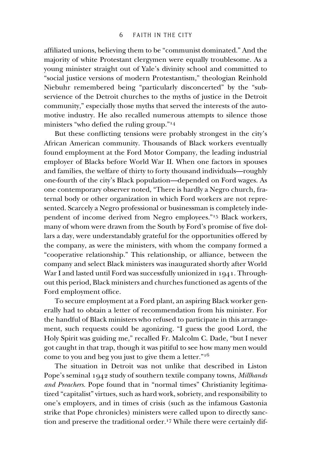affiliated unions, believing them to be "communist dominated." And the majority of white Protestant clergymen were equally troublesome. As a young minister straight out of Yale's divinity school and committed to "social justice versions of modern Protestantism," theologian Reinhold Niebuhr remembered being "particularly disconcerted" by the "subservience of the Detroit churches to the myths of justice in the Detroit community," especially those myths that served the interests of the automotive industry. He also recalled numerous attempts to silence those ministers "who defied the ruling group."<sup>14</sup>

But these conflicting tensions were probably strongest in the city's African American community. Thousands of Black workers eventually found employment at the Ford Motor Company, the leading industrial employer of Blacks before World War II. When one factors in spouses and families, the welfare of thirty to forty thousand individuals—roughly one-fourth of the city's Black population—depended on Ford wages. As one contemporary observer noted, "There is hardly a Negro church, fraternal body or other organization in which Ford workers are not represented. Scarcely a Negro professional or businessman is completely independent of income derived from Negro employees."15 Black workers, many of whom were drawn from the South by Ford's promise of five dollars a day, were understandably grateful for the opportunities offered by the company, as were the ministers, with whom the company formed a "cooperative relationship." This relationship, or alliance, between the company and select Black ministers was inaugurated shortly after World War I and lasted until Ford was successfully unionized in 1941. Throughout this period, Black ministers and churches functioned as agents of the Ford employment office.

To secure employment at a Ford plant, an aspiring Black worker generally had to obtain a letter of recommendation from his minister. For the handful of Black ministers who refused to participate in this arrangement, such requests could be agonizing. "I guess the good Lord, the Holy Spirit was guiding me," recalled Fr. Malcolm C. Dade, "but I never got caught in that trap, though it was pitiful to see how many men would come to you and beg you just to give them a letter."<sup>16</sup>

The situation in Detroit was not unlike that described in Liston Pope's seminal 1942 study of southern textile company towns, *Millhands and Preachers.* Pope found that in "normal times" Christianity legitimatized "capitalist" virtues, such as hard work, sobriety, and responsibility to one's employers, and in times of crisis (such as the infamous Gastonia strike that Pope chronicles) ministers were called upon to directly sanction and preserve the traditional order.<sup>17</sup> While there were certainly dif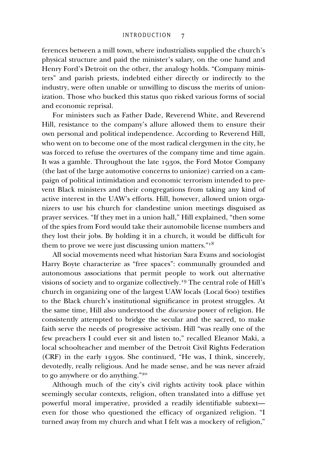ferences between a mill town, where industrialists supplied the church's physical structure and paid the minister's salary, on the one hand and Henry Ford's Detroit on the other, the analogy holds. "Company ministers" and parish priests, indebted either directly or indirectly to the industry, were often unable or unwilling to discuss the merits of unionization. Those who bucked this status quo risked various forms of social and economic reprisal.

For ministers such as Father Dade, Reverend White, and Reverend Hill, resistance to the company's allure allowed them to ensure their own personal and political independence. According to Reverend Hill, who went on to become one of the most radical clergymen in the city, he was forced to refuse the overtures of the company time and time again. It was a gamble. Throughout the late 1930s, the Ford Motor Company (the last of the large automotive concerns to unionize) carried on a campaign of political intimidation and economic terrorism intended to prevent Black ministers and their congregations from taking any kind of active interest in the UAW's efforts. Hill, however, allowed union organizers to use his church for clandestine union meetings disguised as prayer services. "If they met in a union hall," Hill explained, "then some of the spies from Ford would take their automobile license numbers and they lost their jobs. By holding it in a church, it would be difficult for them to prove we were just discussing union matters."<sup>18</sup>

All social movements need what historian Sara Evans and sociologist Harry Boyte characterize as "free spaces": communally grounded and autonomous associations that permit people to work out alternative visions of society and to organize collectively.<sup>19</sup> The central role of Hill's church in organizing one of the largest UAW locals (Local 600) testifies to the Black church's institutional significance in protest struggles. At the same time, Hill also understood the *discursive* power of religion. He consistently attempted to bridge the secular and the sacred, to make faith serve the needs of progressive activism. Hill "was really one of the few preachers I could ever sit and listen to," recalled Eleanor Maki, a local schoolteacher and member of the Detroit Civil Rights Federation (CRF) in the early 1930s. She continued, "He was, I think, sincerely, devotedly, really religious. And he made sense, and he was never afraid to go anywhere or do anything."<sup>20</sup>

Although much of the city's civil rights activity took place within seemingly secular contexts, religion, often translated into a diffuse yet powerful moral imperative, provided a readily identifiable subtexteven for those who questioned the efficacy of organized religion. "I turned away from my church and what I felt was a mockery of religion,"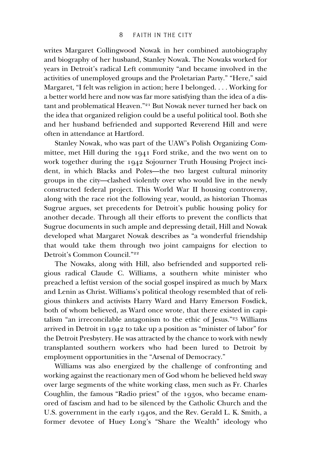writes Margaret Collingwood Nowak in her combined autobiography and biography of her husband, Stanley Nowak. The Nowaks worked for years in Detroit's radical Left community "and became involved in the activities of unemployed groups and the Proletarian Party." "Here," said Margaret, "I felt was religion in action; here I belonged. . . . Working for a better world here and now was far more satisfying than the idea of a distant and problematical Heaven."21 But Nowak never turned her back on the idea that organized religion could be a useful political tool. Both she and her husband befriended and supported Reverend Hill and were often in attendance at Hartford.

Stanley Nowak, who was part of the UAW's Polish Organizing Committee, met Hill during the 1941 Ford strike, and the two went on to work together during the 1942 Sojourner Truth Housing Project incident, in which Blacks and Poles—the two largest cultural minority groups in the city—clashed violently over who would live in the newly constructed federal project. This World War II housing controversy, along with the race riot the following year, would, as historian Thomas Sugrue argues, set precedents for Detroit's public housing policy for another decade. Through all their efforts to prevent the conflicts that Sugrue documents in such ample and depressing detail, Hill and Nowak developed what Margaret Nowak describes as "a wonderful friendship that would take them through two joint campaigns for election to Detroit's Common Council."<sup>22</sup>

The Nowaks, along with Hill, also befriended and supported religious radical Claude C. Williams, a southern white minister who preached a leftist version of the social gospel inspired as much by Marx and Lenin as Christ. Williams's political theology resembled that of religious thinkers and activists Harry Ward and Harry Emerson Fosdick, both of whom believed, as Ward once wrote, that there existed in capitalism "an irreconcilable antagonism to the ethic of Jesus."23 Williams arrived in Detroit in 1942 to take up a position as "minister of labor" for the Detroit Presbytery. He was attracted by the chance to work with newly transplanted southern workers who had been lured to Detroit by employment opportunities in the "Arsenal of Democracy."

Williams was also energized by the challenge of confronting and working against the reactionary men of God whom he believed held sway over large segments of the white working class, men such as Fr. Charles Coughlin, the famous "Radio priest" of the 1930s, who became enamored of fascism and had to be silenced by the Catholic Church and the U.S. government in the early 1940s, and the Rev. Gerald L. K. Smith, a former devotee of Huey Long's "Share the Wealth" ideology who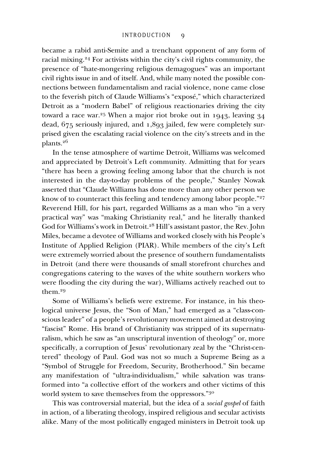became a rabid anti-Semite and a trenchant opponent of any form of racial mixing.<sup>24</sup> For activists within the city's civil rights community, the presence of "hate-mongering religious demagogues" was an important civil rights issue in and of itself. And, while many noted the possible connections between fundamentalism and racial violence, none came close to the feverish pitch of Claude Williams's "exposé," which characterized Detroit as a "modern Babel" of religious reactionaries driving the city toward a race war.<sup>25</sup> When a major riot broke out in 1943, leaving  $34$ dead, 675 seriously injured, and 1,893 jailed, few were completely surprised given the escalating racial violence on the city's streets and in the plants.<sup>26</sup>

In the tense atmosphere of wartime Detroit, Williams was welcomed and appreciated by Detroit's Left community. Admitting that for years "there has been a growing feeling among labor that the church is not interested in the day-to-day problems of the people," Stanley Nowak asserted that "Claude Williams has done more than any other person we know of to counteract this feeling and tendency among labor people."<sup>27</sup> Reverend Hill, for his part, regarded Williams as a man who "in a very practical way" was "making Christianity real," and he literally thanked God for Williams's work in Detroit.<sup>28</sup> Hill's assistant pastor, the Rev. John Miles, became a devotee of Williams and worked closely with his People's Institute of Applied Religion (PIAR). While members of the city's Left were extremely worried about the presence of southern fundamentalists in Detroit (and there were thousands of small storefront churches and congregations catering to the waves of the white southern workers who were flooding the city during the war), Williams actively reached out to them.29

Some of Williams's beliefs were extreme. For instance, in his theological universe Jesus, the "Son of Man," had emerged as a "class-conscious leader" of a people's revolutionary movement aimed at destroying "fascist" Rome. His brand of Christianity was stripped of its supernaturalism, which he saw as "an unscriptural invention of theology" or, more specifically, a corruption of Jesus' revolutionary zeal by the "Christ-centered" theology of Paul. God was not so much a Supreme Being as a "Symbol of Struggle for Freedom, Security, Brotherhood." Sin became any manifestation of "ultra-individualism," while salvation was transformed into "a collective effort of the workers and other victims of this world system to save themselves from the oppressors."30

This was controversial material, but the idea of a *social gospel* of faith in action, of a liberating theology, inspired religious and secular activists alike. Many of the most politically engaged ministers in Detroit took up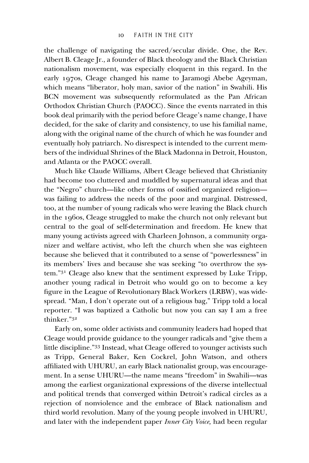the challenge of navigating the sacred/secular divide. One, the Rev. Albert B. Cleage Jr., a founder of Black theology and the Black Christian nationalism movement, was especially eloquent in this regard. In the early 1970s, Cleage changed his name to Jaramogi Abebe Ageyman, which means "liberator, holy man, savior of the nation" in Swahili. His BCN movement was subsequently reformulated as the Pan African Orthodox Christian Church (PAOCC). Since the events narrated in this book deal primarily with the period before Cleage's name change, I have decided, for the sake of clarity and consistency, to use his familial name, along with the original name of the church of which he was founder and eventually holy patriarch. No disrespect is intended to the current members of the individual Shrines of the Black Madonna in Detroit, Houston, and Atlanta or the PAOCC overall.

Much like Claude Williams, Albert Cleage believed that Christianity had become too cluttered and muddled by supernatural ideas and that the "Negro" church—like other forms of ossified organized religion was failing to address the needs of the poor and marginal. Distressed, too, at the number of young radicals who were leaving the Black church in the 1960s, Cleage struggled to make the church not only relevant but central to the goal of self-determination and freedom. He knew that many young activists agreed with Charleen Johnson, a community organizer and welfare activist, who left the church when she was eighteen because she believed that it contributed to a sense of "powerlessness" in its members' lives and because she was seeking "to overthrow the system."<sup>31</sup> Cleage also knew that the sentiment expressed by Luke Tripp, another young radical in Detroit who would go on to become a key figure in the League of Revolutionary Black Workers (LRBW), was widespread. "Man, I don't operate out of a religious bag," Tripp told a local reporter. "I was baptized a Catholic but now you can say I am a free thinker."<sup>32</sup>

Early on, some older activists and community leaders had hoped that Cleage would provide guidance to the younger radicals and "give them a little discipline."<sup>33</sup> Instead, what Cleage offered to younger activists such as Tripp, General Baker, Ken Cockrel, John Watson, and others affiliated with UHURU, an early Black nationalist group, was encouragement. In a sense UHURU—the name means "freedom" in Swahili—was among the earliest organizational expressions of the diverse intellectual and political trends that converged within Detroit's radical circles as a rejection of nonviolence and the embrace of Black nationalism and third world revolution. Many of the young people involved in UHURU, and later with the independent paper *Inner City Voice,* had been regular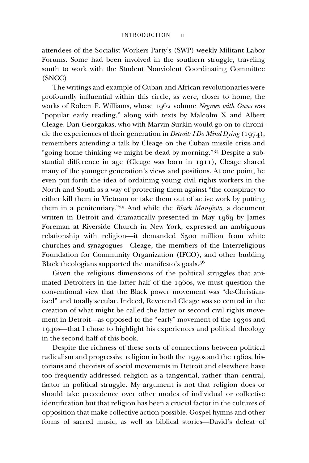attendees of the Socialist Workers Party's (SWP) weekly Militant Labor Forums. Some had been involved in the southern struggle, traveling south to work with the Student Nonviolent Coordinating Committee (SNCC).

The writings and example of Cuban and African revolutionaries were profoundly influential within this circle, as were, closer to home, the works of Robert F. Williams, whose 1962 volume *Negroes with Guns* was "popular early reading," along with texts by Malcolm X and Albert Cleage. Dan Georgakas, who with Marvin Surkin would go on to chronicle the experiences of their generation in *Detroit: I Do Mind Dying* (1974), remembers attending a talk by Cleage on the Cuban missile crisis and "going home thinking we might be dead by morning."<sup>34</sup> Despite a substantial difference in age (Cleage was born in 1911), Cleage shared many of the younger generation's views and positions. At one point, he even put forth the idea of ordaining young civil rights workers in the North and South as a way of protecting them against "the conspiracy to either kill them in Vietnam or take them out of active work by putting them in a penitentiary."35 And while the *Black Manifesto,* a document written in Detroit and dramatically presented in May 1969 by James Foreman at Riverside Church in New York, expressed an ambiguous relationship with religion—it demanded \$500 million from white churches and synagogues—Cleage, the members of the Interreligious Foundation for Community Organization (IFCO), and other budding Black theologians supported the manifesto's goals.<sup>36</sup>

Given the religious dimensions of the political struggles that animated Detroiters in the latter half of the 1960s, we must question the conventional view that the Black power movement was "de-Christianized" and totally secular. Indeed, Reverend Cleage was so central in the creation of what might be called the latter or second civil rights movement in Detroit—as opposed to the "early" movement of the 1930s and 1940s—that I chose to highlight his experiences and political theology in the second half of this book.

Despite the richness of these sorts of connections between political radicalism and progressive religion in both the 1930s and the 1960s, historians and theorists of social movements in Detroit and elsewhere have too frequently addressed religion as a tangential, rather than central, factor in political struggle. My argument is not that religion does or should take precedence over other modes of individual or collective identification but that religion has been a crucial factor in the cultures of opposition that make collective action possible. Gospel hymns and other forms of sacred music, as well as biblical stories—David's defeat of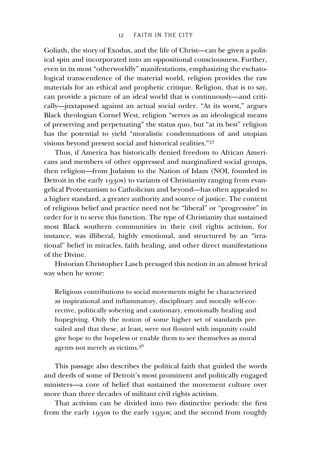Goliath, the story of Exodus, and the life of Christ—can be given a political spin and incorporated into an oppositional consciousness. Further, even in its most "otherworldly" manifestations, emphasizing the eschatological transcendence of the material world, religion provides the raw materials for an ethical and prophetic critique. Religion, that is to say, can provide a picture of an ideal world that is continuously—and critically—juxtaposed against an actual social order. "At its worst," argues Black theologian Cornel West, religion "serves as an ideological means of preserving and perpetuating" the status quo, but "at its best" religion has the potential to yield "moralistic condemnations of and utopian visions beyond present social and historical realities."37

Thus, if America has historically denied freedom to African Americans and members of other oppressed and marginalized social groups, then religion—from Judaism to the Nation of Islam (NOI, founded in Detroit in the early 1930s) to variants of Christianity ranging from evangelical Protestantism to Catholicism and beyond—has often appealed to a higher standard, a greater authority and source of justice. The content of religious belief and practice need not be "liberal" or "progressive" in order for it to serve this function. The type of Christianity that sustained most Black southern communities in their civil rights activism, for instance, was illiberal, highly emotional, and structured by an "irrational" belief in miracles, faith healing, and other direct manifestations of the Divine.

Historian Christopher Lasch presaged this notion in an almost lyrical way when he wrote:

Religious contributions to social movements might be characterized as inspirational and inflammatory, disciplinary and morally self-corrective, politically sobering and cautionary, emotionally healing and hopegiving. Only the notion of some higher set of standards prevailed and that these, at least, were not flouted with impunity could give hope to the hopeless or enable them to see themselves as moral agents not merely as victims.38

This passage also describes the political faith that guided the words and deeds of some of Detroit's most prominent and politically engaged ministers—a core of belief that sustained the movement culture over more than three decades of militant civil rights activism.

That activism can be divided into two distinctive periods: the first from the early 1930s to the early 1950s; and the second from roughly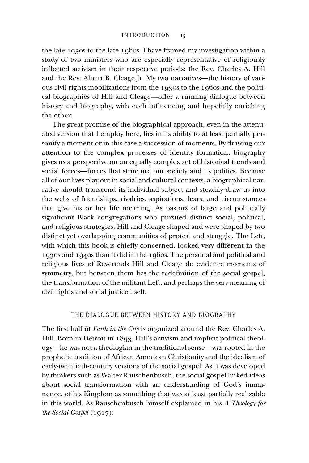the late 1950s to the late 1960s. I have framed my investigation within a study of two ministers who are especially representative of religiously inflected activism in their respective periods: the Rev. Charles A. Hill and the Rev. Albert B. Cleage Jr. My two narratives—the history of various civil rights mobilizations from the 1930s to the 1960s and the political biographies of Hill and Cleage—offer a running dialogue between history and biography, with each influencing and hopefully enriching the other.

The great promise of the biographical approach, even in the attenuated version that I employ here, lies in its ability to at least partially personify a moment or in this case a succession of moments. By drawing our attention to the complex processes of identity formation, biography gives us a perspective on an equally complex set of historical trends and social forces—forces that structure our society and its politics. Because all of our lives play out in social and cultural contexts, a biographical narrative should transcend its individual subject and steadily draw us into the webs of friendships, rivalries, aspirations, fears, and circumstances that give his or her life meaning. As pastors of large and politically significant Black congregations who pursued distinct social, political, and religious strategies, Hill and Cleage shaped and were shaped by two distinct yet overlapping communities of protest and struggle. The Left, with which this book is chiefly concerned, looked very different in the 1930s and 1940s than it did in the 1960s. The personal and political and religious lives of Reverends Hill and Cleage do evidence moments of symmetry, but between them lies the redefinition of the social gospel, the transformation of the militant Left, and perhaps the very meaning of civil rights and social justice itself.

## THE DIALOGUE BETWEEN HISTORY AND BIOGRAPHY

The first half of *Faith in the City* is organized around the Rev. Charles A. Hill. Born in Detroit in 1893, Hill's activism and implicit political theology—he was not a theologian in the traditional sense—was rooted in the prophetic tradition of African American Christianity and the idealism of early-twentieth-century versions of the social gospel. As it was developed by thinkers such as Walter Rauschenbusch, the social gospel linked ideas about social transformation with an understanding of God's immanence, of his Kingdom as something that was at least partially realizable in this world. As Rauschenbusch himself explained in his *A Theology for the Social Gospel* (1917):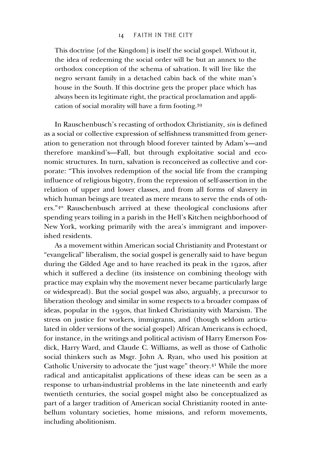This doctrine [of the Kingdom] is itself the social gospel. Without it, the idea of redeeming the social order will be but an annex to the orthodox conception of the schema of salvation. It will live like the negro servant family in a detached cabin back of the white man's house in the South. If this doctrine gets the proper place which has always been its legitimate right, the practical proclamation and application of social morality will have a firm footing.<sup>39</sup>

In Rauschenbusch's recasting of orthodox Christianity, *sin* is defined as a social or collective expression of selfishness transmitted from generation to generation not through blood forever tainted by Adam's—and therefore mankind's—Fall, but through exploitative social and economic structures. In turn, salvation is reconceived as collective and corporate: "This involves redemption of the social life from the cramping influence of religious bigotry, from the repression of self-assertion in the relation of upper and lower classes, and from all forms of slavery in which human beings are treated as mere means to serve the ends of others."40 Rauschenbusch arrived at these theological conclusions after spending years toiling in a parish in the Hell's Kitchen neighborhood of New York, working primarily with the area's immigrant and impoverished residents.

As a movement within American social Christianity and Protestant or "evangelical" liberalism, the social gospel is generally said to have begun during the Gilded Age and to have reached its peak in the 1920s, after which it suffered a decline (its insistence on combining theology with practice may explain why the movement never became particularly large or widespread). But the social gospel was also, arguably, a precursor to liberation theology and similar in some respects to a broader compass of ideas, popular in the 1930s, that linked Christianity with Marxism. The stress on justice for workers, immigrants, and (though seldom articulated in older versions of the social gospel) African Americans is echoed, for instance, in the writings and political activism of Harry Emerson Fosdick, Harry Ward, and Claude C. Williams, as well as those of Catholic social thinkers such as Msgr. John A. Ryan, who used his position at Catholic University to advocate the "just wage" theory.41 While the more radical and anticapitalist applications of these ideas can be seen as a response to urban-industrial problems in the late nineteenth and early twentieth centuries, the social gospel might also be conceptualized as part of a larger tradition of American social Christianity rooted in antebellum voluntary societies, home missions, and reform movements, including abolitionism.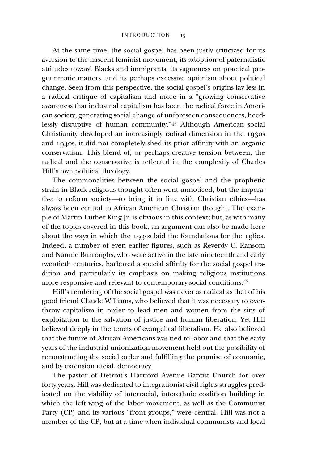At the same time, the social gospel has been justly criticized for its aversion to the nascent feminist movement, its adoption of paternalistic attitudes toward Blacks and immigrants, its vagueness on practical programmatic matters, and its perhaps excessive optimism about political change. Seen from this perspective, the social gospel's origins lay less in a radical critique of capitalism and more in a "growing conservative awareness that industrial capitalism has been the radical force in American society, generating social change of unforeseen consequences, heedlessly disruptive of human community."<sup>42</sup> Although American social Christianity developed an increasingly radical dimension in the 1930s and  $1940s$ , it did not completely shed its prior affinity with an organic conservatism. This blend of, or perhaps creative tension between, the radical and the conservative is reflected in the complexity of Charles Hill's own political theology.

The commonalities between the social gospel and the prophetic strain in Black religious thought often went unnoticed, but the imperative to reform society—to bring it in line with Christian ethics—has always been central to African American Christian thought. The example of Martin Luther King Jr. is obvious in this context; but, as with many of the topics covered in this book, an argument can also be made here about the ways in which the 1930s laid the foundations for the 1960s. Indeed, a number of even earlier figures, such as Reverdy C. Ransom and Nannie Burroughs, who were active in the late nineteenth and early twentieth centuries, harbored a special affinity for the social gospel tradition and particularly its emphasis on making religious institutions more responsive and relevant to contemporary social conditions.43

Hill's rendering of the social gospel was never as radical as that of his good friend Claude Williams, who believed that it was necessary to overthrow capitalism in order to lead men and women from the sins of exploitation to the salvation of justice and human liberation. Yet Hill believed deeply in the tenets of evangelical liberalism. He also believed that the future of African Americans was tied to labor and that the early years of the industrial unionization movement held out the possibility of reconstructing the social order and fulfilling the promise of economic, and by extension racial, democracy.

The pastor of Detroit's Hartford Avenue Baptist Church for over forty years, Hill was dedicated to integrationist civil rights struggles predicated on the viability of interracial, interethnic coalition building in which the left wing of the labor movement, as well as the Communist Party (CP) and its various "front groups," were central. Hill was not a member of the CP, but at a time when individual communists and local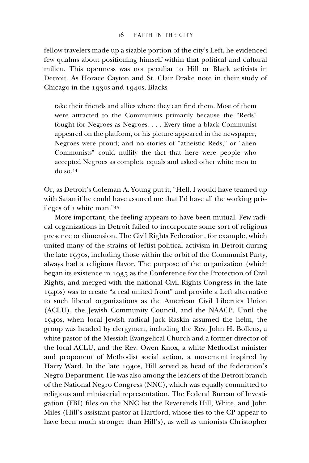fellow travelers made up a sizable portion of the city's Left, he evidenced few qualms about positioning himself within that political and cultural milieu. This openness was not peculiar to Hill or Black activists in Detroit. As Horace Cayton and St. Clair Drake note in their study of Chicago in the 1930s and 1940s, Blacks

take their friends and allies where they can find them. Most of them were attracted to the Communists primarily because the "Reds" fought for Negroes as Negroes. . . . Every time a black Communist appeared on the platform, or his picture appeared in the newspaper, Negroes were proud; and no stories of "atheistic Reds," or "alien Communists" could nullify the fact that here were people who accepted Negroes as complete equals and asked other white men to do so.44

Or, as Detroit's Coleman A. Young put it, "Hell, I would have teamed up with Satan if he could have assured me that I'd have all the working privileges of a white man."<sup>45</sup>

More important, the feeling appears to have been mutual. Few radical organizations in Detroit failed to incorporate some sort of religious presence or dimension. The Civil Rights Federation, for example, which united many of the strains of leftist political activism in Detroit during the late 1930s, including those within the orbit of the Communist Party, always had a religious flavor. The purpose of the organization (which began its existence in 1935 as the Conference for the Protection of Civil Rights, and merged with the national Civil Rights Congress in the late 1940s) was to create "a real united front" and provide a Left alternative to such liberal organizations as the American Civil Liberties Union (ACLU), the Jewish Community Council, and the NAACP. Until the 1940s, when local Jewish radical Jack Raskin assumed the helm, the group was headed by clergymen, including the Rev. John H. Bollens, a white pastor of the Messiah Evangelical Church and a former director of the local ACLU, and the Rev. Owen Knox, a white Methodist minister and proponent of Methodist social action, a movement inspired by Harry Ward. In the late 1930s, Hill served as head of the federation's Negro Department. He was also among the leaders of the Detroit branch of the National Negro Congress (NNC), which was equally committed to religious and ministerial representation. The Federal Bureau of Investigation (FBI) files on the NNC list the Reverends Hill, White, and John Miles (Hill's assistant pastor at Hartford, whose ties to the CP appear to have been much stronger than Hill's), as well as unionists Christopher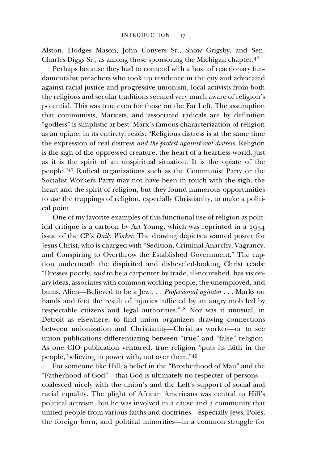Alston, Hodges Mason, John Conyers Sr., Snow Grigsby, and Sen. Charles Diggs Sr., as among those sponsoring the Michigan chapter.<sup>46</sup>

Perhaps because they had to contend with a host of reactionary fundamentalist preachers who took up residence in the city and advocated against racial justice and progressive unionism, local activists from both the religious and secular traditions seemed very much aware of religion's potential. This was true even for those on the Far Left. The assumption that communists, Marxists, and associated radicals are by definition "godless" is simplistic at best: Marx's famous characterization of religion as an opiate, in its entirety, reads: "Religious distress is at the same time the expression of real distress *and the protest against real distress.* Religion is the sigh of the oppressed creature, the heart of a heartless world, just as it is the spirit of an unspiritual situation. It is the opiate of the people."<sup>47</sup> Radical organizations such as the Communist Party or the Socialist Workers Party may not have been in touch with the sigh, the heart and the spirit of religion, but they found numerous opportunities to use the trappings of religion, especially Christianity, to make a political point.

One of my favorite examples of this functional use of religion as political critique is a cartoon by Art Young, which was reprinted in a 1954 issue of the CP's *Daily Worker.* The drawing depicts a wanted poster for Jesus Christ, who is charged with "Sedition, Criminal Anarchy, Vagrancy, and Conspiring to Overthrow the Established Government." The caption underneath the dispirited and disheveled-looking Christ reads: "Dresses poorly, *said* to be a carpenter by trade, ill-nourished, has visionary ideas, associates with common working people, the unemployed, and bums. Alien—Believed to be a Jew . . . *Professional agitator* . . . Marks on hands and feet the result of injuries inflicted by an angry mob led by respectable citizens and legal authorities."48 Nor was it unusual, in Detroit as elsewhere, to find union organizers drawing connections between unionization and Christianity—Christ as worker—or to see union publications differentiating between "true" and "false" religion. As one CIO publication ventured, true religion "puts its faith in the people, believing in power with, not over them."<sup>49</sup>

For someone like Hill, a belief in the "Brotherhood of Man" and the "Fatherhood of God"—that God is ultimately no respecter of persons coalesced nicely with the union's and the Left's support of social and racial equality. The plight of African Americans was central to Hill's political activism, but he was involved in a cause and a community that united people from various faiths and doctrines—especially Jews, Poles, the foreign born, and political minorities—in a common struggle for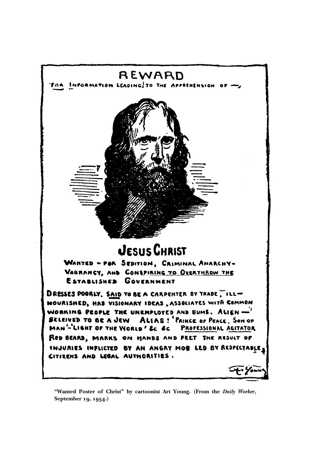

**"Wanted Poster of Christ" by cartoonist Art Young. (From the** *Daily Worker,* **September 19, 1954.)**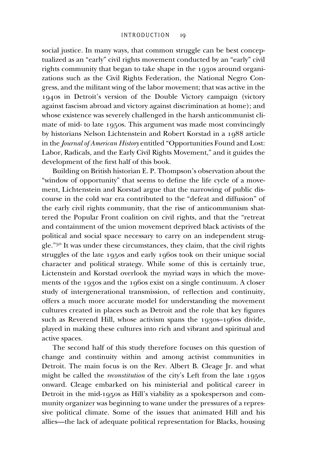social justice. In many ways, that common struggle can be best conceptualized as an "early" civil rights movement conducted by an "early" civil rights community that began to take shape in the 1930s around organizations such as the Civil Rights Federation, the National Negro Congress, and the militant wing of the labor movement; that was active in the 1940s in Detroit's version of the Double Victory campaign (victory against fascism abroad and victory against discrimination at home); and whose existence was severely challenged in the harsh anticommunist climate of mid- to late 1950s. This argument was made most convincingly by historians Nelson Lichtenstein and Robert Korstad in a 1988 article in the *Journal of American History* entitled "Opportunities Found and Lost: Labor, Radicals, and the Early Civil Rights Movement," and it guides the development of the first half of this book.

Building on British historian E. P. Thompson's observation about the "window of opportunity" that seems to define the life cycle of a movement, Lichtenstein and Korstad argue that the narrowing of public discourse in the cold war era contributed to the "defeat and diffusion" of the early civil rights community, that the rise of anticommunism shattered the Popular Front coalition on civil rights, and that the "retreat and containment of the union movement deprived black activists of the political and social space necessary to carry on an independent struggle."<sup>50</sup> It was under these circumstances, they claim, that the civil rights struggles of the late 1950s and early 1960s took on their unique social character and political strategy. While some of this is certainly true, Lictenstein and Korstad overlook the myriad ways in which the movements of the 1930s and the 1960s exist on a single continuum. A closer study of intergenerational transmission, of reflection and continuity, offers a much more accurate model for understanding the movement cultures created in places such as Detroit and the role that key figures such as Reverend Hill, whose activism spans the 1930s–1960s divide, played in making these cultures into rich and vibrant and spiritual and active spaces.

The second half of this study therefore focuses on this question of change and continuity within and among activist communities in Detroit. The main focus is on the Rev. Albert B. Cleage Jr. and what might be called the *reconstitution* of the city's Left from the late 1950s onward. Cleage embarked on his ministerial and political career in Detroit in the mid-1950s as Hill's viability as a spokesperson and community organizer was beginning to wane under the pressures of a repressive political climate. Some of the issues that animated Hill and his allies—the lack of adequate political representation for Blacks, housing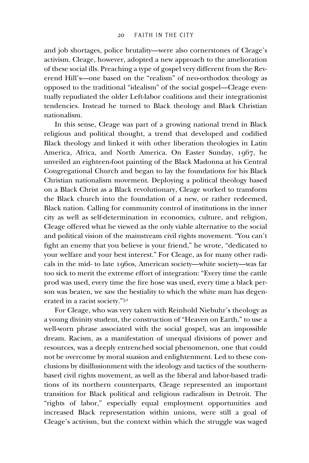and job shortages, police brutality—were also cornerstones of Cleage's activism. Cleage, however, adopted a new approach to the amelioration of these social ills. Preaching a type of gospel very different from the Reverend Hill's—one based on the "realism" of neo-orthodox theology as opposed to the traditional "idealism" of the social gospel—Cleage eventually repudiated the older Left-labor coalitions and their integrationist tendencies. Instead he turned to Black theology and Black Christian nationalism.

In this sense, Cleage was part of a growing national trend in Black religious and political thought, a trend that developed and codified Black theology and linked it with other liberation theologies in Latin America, Africa, and North America. On Easter Sunday, 1967, he unveiled an eighteen-foot painting of the Black Madonna at his Central Congregational Church and began to lay the foundations for his Black Christian nationalism movement. Deploying a political theology based on a Black Christ as a Black revolutionary, Cleage worked to transform the Black church into the foundation of a new, or rather redeemed, Black nation. Calling for community control of institutions in the inner city as well as self-determination in economics, culture, and religion, Cleage offered what he viewed as the only viable alternative to the social and political vision of the mainstream civil rights movement. "You can't fight an enemy that you believe is your friend," he wrote, "dedicated to your welfare and your best interest." For Cleage, as for many other radicals in the mid- to late 1960s, American society—white society—was far too sick to merit the extreme effort of integration: "Every time the cattle prod was used, every time the fire hose was used, every time a black person was beaten, we saw the bestiality to which the white man has degenerated in a racist society."51

For Cleage, who was very taken with Reinhold Niebuhr's theology as a young divinity student, the construction of "Heaven on Earth," to use a well-worn phrase associated with the social gospel, was an impossible dream. Racism, as a manifestation of unequal divisions of power and resources, was a deeply entrenched social phenomenon, one that could not be overcome by moral suasion and enlightenment. Led to these conclusions by disillusionment with the ideology and tactics of the southernbased civil rights movement, as well as the liberal and labor-based traditions of its northern counterparts, Cleage represented an important transition for Black political and religious radicalism in Detroit. The "rights of labor," especially equal employment opportunities and increased Black representation within unions, were still a goal of Cleage's activism, but the context within which the struggle was waged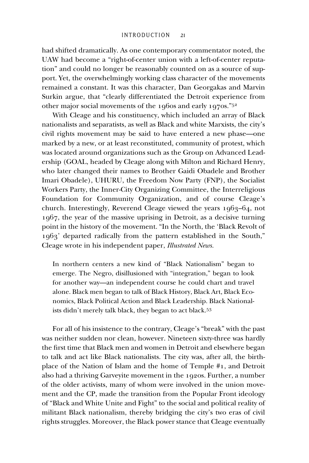had shifted dramatically. As one contemporary commentator noted, the UAW had become a "right-of-center union with a left-of-center reputation" and could no longer be reasonably counted on as a source of support. Yet, the overwhelmingly working class character of the movements remained a constant. It was this character, Dan Georgakas and Marvin Surkin argue, that "clearly differentiated the Detroit experience from other major social movements of the 1960s and early 1970s."52

With Cleage and his constituency, which included an array of Black nationalists and separatists, as well as Black and white Marxists, the city's civil rights movement may be said to have entered a new phase—one marked by a new, or at least reconstituted, community of protest, which was located around organizations such as the Group on Advanced Leadership (GOAL, headed by Cleage along with Milton and Richard Henry, who later changed their names to Brother Gaidi Obadele and Brother Imari Obadele), UHURU, the Freedom Now Party (FNP), the Socialist Workers Party, the Inner-City Organizing Committee, the Interreligious Foundation for Community Organization, and of course Cleage's church. Interestingly, Reverend Cleage viewed the years 1963–64, not 1967, the year of the massive uprising in Detroit, as a decisive turning point in the history of the movement. "In the North, the 'Black Revolt of 1963' departed radically from the pattern established in the South," Cleage wrote in his independent paper, *Illustrated News.*

In northern centers a new kind of "Black Nationalism" began to emerge. The Negro, disillusioned with "integration," began to look for another way—an independent course he could chart and travel alone. Black men began to talk of Black History, Black Art, Black Economics, Black Political Action and Black Leadership. Black Nationalists didn't merely talk black, they began to act black.<sup>53</sup>

For all of his insistence to the contrary, Cleage's "break" with the past was neither sudden nor clean, however. Nineteen sixty-three was hardly the first time that Black men and women in Detroit and elsewhere began to talk and act like Black nationalists. The city was, after all, the birthplace of the Nation of Islam and the home of Temple #1, and Detroit also had a thriving Garveyite movement in the 1920s. Further, a number of the older activists, many of whom were involved in the union movement and the CP, made the transition from the Popular Front ideology of "Black and White Unite and Fight" to the social and political reality of militant Black nationalism, thereby bridging the city's two eras of civil rights struggles. Moreover, the Black power stance that Cleage eventually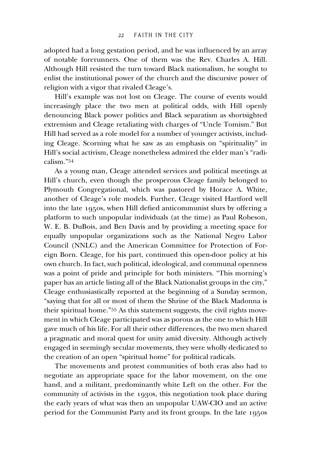adopted had a long gestation period, and he was influenced by an array of notable forerunners. One of them was the Rev. Charles A. Hill. Although Hill resisted the turn toward Black nationalism, he sought to enlist the institutional power of the church and the discursive power of religion with a vigor that rivaled Cleage's.

Hill's example was not lost on Cleage. The course of events would increasingly place the two men at political odds, with Hill openly denouncing Black power politics and Black separatism as shortsighted extremism and Cleage retaliating with charges of "Uncle Tomism." But Hill had served as a role model for a number of younger activists, including Cleage. Scorning what he saw as an emphasis on "spirituality" in Hill's social activism, Cleage nonetheless admired the elder man's "radicalism."<sup>54</sup>

As a young man, Cleage attended services and political meetings at Hill's church, even though the prosperous Cleage family belonged to Plymouth Congregational, which was pastored by Horace A. White, another of Cleage's role models. Further, Cleage visited Hartford well into the late 1950s, when Hill defied anticommunist slurs by offering a platform to such unpopular individuals (at the time) as Paul Robeson, W. E. B. DuBois, and Ben Davis and by providing a meeting space for equally unpopular organizations such as the National Negro Labor Council (NNLC) and the American Committee for Protection of Foreign Born. Cleage, for his part, continued this open-door policy at his own church. In fact, such political, ideological, and communal openness was a point of pride and principle for both ministers. "This morning's paper has an article listing all of the Black Nationalist groups in the city," Cleage enthusiastically reported at the beginning of a Sunday sermon, "saying that for all or most of them the Shrine of the Black Madonna is their spiritual home."<sup>55</sup> As this statement suggests, the civil rights movement in which Cleage participated was as porous as the one to which Hill gave much of his life. For all their other differences, the two men shared a pragmatic and moral quest for unity amid diversity. Although actively engaged in seemingly secular movements, they were wholly dedicated to the creation of an open "spiritual home" for political radicals.

The movements and protest communities of both eras also had to negotiate an appropriate space for the labor movement, on the one hand, and a militant, predominantly white Left on the other. For the community of activists in the 1930s, this negotiation took place during the early years of what was then an unpopular UAW-CIO and an active period for the Communist Party and its front groups. In the late 1950s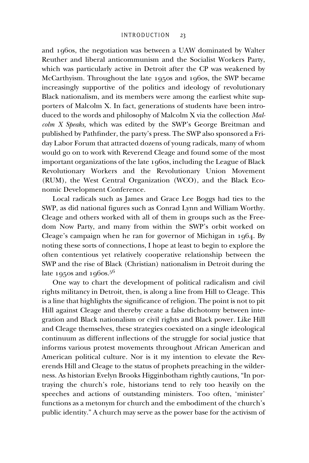and 1960s, the negotiation was between a UAW dominated by Walter Reuther and liberal anticommunism and the Socialist Workers Party, which was particularly active in Detroit after the CP was weakened by McCarthyism. Throughout the late 1950s and 1960s, the SWP became increasingly supportive of the politics and ideology of revolutionary Black nationalism, and its members were among the earliest white supporters of Malcolm X. In fact, generations of students have been introduced to the words and philosophy of Malcolm X via the collection *Malcolm X Speaks,* which was edited by the SWP's George Breitman and published by Pathfinder, the party's press. The SWP also sponsored a Friday Labor Forum that attracted dozens of young radicals, many of whom would go on to work with Reverend Cleage and found some of the most important organizations of the late 1960s, including the League of Black Revolutionary Workers and the Revolutionary Union Movement (RUM), the West Central Organization (WCO), and the Black Economic Development Conference.

Local radicals such as James and Grace Lee Boggs had ties to the SWP, as did national figures such as Conrad Lynn and William Worthy. Cleage and others worked with all of them in groups such as the Freedom Now Party, and many from within the SWP's orbit worked on Cleage's campaign when he ran for governor of Michigan in 1964. By noting these sorts of connections, I hope at least to begin to explore the often contentious yet relatively cooperative relationship between the SWP and the rise of Black (Christian) nationalism in Detroit during the late 1950s and 1960s.<sup>56</sup>

One way to chart the development of political radicalism and civil rights militancy in Detroit, then, is along a line from Hill to Cleage. This is a line that highlights the significance of religion. The point is not to pit Hill against Cleage and thereby create a false dichotomy between integration and Black nationalism or civil rights and Black power. Like Hill and Cleage themselves, these strategies coexisted on a single ideological continuum as different inflections of the struggle for social justice that informs various protest movements throughout African American and American political culture. Nor is it my intention to elevate the Reverends Hill and Cleage to the status of prophets preaching in the wilderness. As historian Evelyn Brooks Higginbotham rightly cautions, "In portraying the church's role, historians tend to rely too heavily on the speeches and actions of outstanding ministers. Too often, 'minister' functions as a metonym for church and the embodiment of the church's public identity." A church may serve as the power base for the activism of